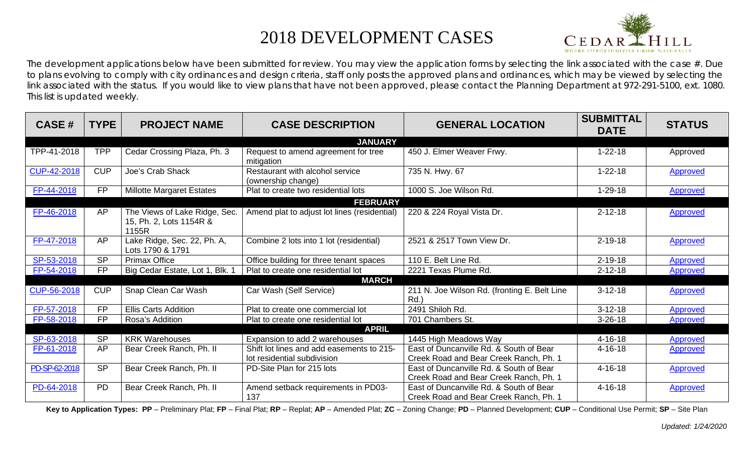## 2018 DEVELOPMENT CASES



The development applications below have been submitted for review. You may view the application forms by selecting the link associated with the case  $#$ . Due to plans evolving to comply with city ordinances and design criteria, staff only posts the approved plans and ordinances, which may be viewed by selecting the link associated with the status. If you would like to view plans that have not been approved, please contact the Planning Department at 972-291-5100, ext. 1080. This list is updated weekly.

| <b>CASE#</b>   | <b>TYPE</b> | <b>PROJECT NAME</b>                                               | <b>CASE DESCRIPTION</b>                                                  | <b>GENERAL LOCATION</b>                                                           | <b>SUBMITTAL</b><br><b>DATE</b> | <b>STATUS</b>   |  |
|----------------|-------------|-------------------------------------------------------------------|--------------------------------------------------------------------------|-----------------------------------------------------------------------------------|---------------------------------|-----------------|--|
| <b>JANUARY</b> |             |                                                                   |                                                                          |                                                                                   |                                 |                 |  |
| TPP-41-2018    | <b>TPP</b>  | Cedar Crossing Plaza, Ph. 3                                       | Request to amend agreement for tree<br>mitigation                        | 450 J. Elmer Weaver Frwy.                                                         | $1 - 22 - 18$                   | Approved        |  |
| CUP-42-2018    | <b>CUP</b>  | Joe's Crab Shack                                                  | Restaurant with alcohol service<br>(ownership change)                    | 735 N. Hwy. 67                                                                    | $1 - 22 - 18$                   | <b>Approved</b> |  |
| FP-44-2018     | <b>FP</b>   | <b>Millotte Margaret Estates</b>                                  | Plat to create two residential lots                                      | 1000 S. Joe Wilson Rd.                                                            | $1 - 29 - 18$                   | <b>Approved</b> |  |
|                |             |                                                                   | <b>FEBRUARY</b>                                                          |                                                                                   |                                 |                 |  |
| FP-46-2018     | AP          | The Views of Lake Ridge, Sec.<br>15, Ph. 2, Lots 1154R &<br>1155R | Amend plat to adjust lot lines (residential)                             | 220 & 224 Royal Vista Dr.                                                         | $2 - 12 - 18$                   | <b>Approved</b> |  |
| FP-47-2018     | <b>AP</b>   | Lake Ridge, Sec. 22, Ph. A,<br>Lots 1790 & 1791                   | Combine 2 lots into 1 lot (residential)                                  | 2521 & 2517 Town View Dr.                                                         | $2 - 19 - 18$                   | <b>Approved</b> |  |
| SP-53-2018     | <b>SP</b>   | <b>Primax Office</b>                                              | Office building for three tenant spaces                                  | 110 E. Belt Line Rd.                                                              | $2 - 19 - 18$                   | Approved        |  |
| FP-54-2018     | <b>FP</b>   | Big Cedar Estate, Lot 1, Blk. 1                                   | Plat to create one residential lot                                       | 2221 Texas Plume Rd.                                                              | $2 - 12 - 18$                   | Approved        |  |
|                |             |                                                                   | <b>MARCH</b>                                                             |                                                                                   |                                 |                 |  |
| CUP-56-2018    | <b>CUP</b>  | Snap Clean Car Wash                                               | Car Wash (Self Service)                                                  | 211 N. Joe Wilson Rd. (fronting E. Belt Line<br>Rd.                               | $3-12-18$                       | <b>Approved</b> |  |
| FP-57-2018     | <b>FP</b>   | <b>Ellis Carts Addition</b>                                       | Plat to create one commercial lot                                        | 2491 Shiloh Rd.                                                                   | $3-12-18$                       | <b>Approved</b> |  |
| FP-58-2018     | <b>FP</b>   | Rosa's Addition                                                   | Plat to create one residential lot                                       | 701 Chambers St.                                                                  | $3 - 26 - 18$                   | Approved        |  |
|                |             |                                                                   | <b>APRIL</b>                                                             |                                                                                   |                                 |                 |  |
| SP-63-2018     | <b>SP</b>   | <b>KRK Warehouses</b>                                             | Expansion to add 2 warehouses                                            | 1445 High Meadows Way                                                             | $4 - 16 - 18$                   | Approved        |  |
| FP-61-2018     | AP          | Bear Creek Ranch, Ph. II                                          | Shift lot lines and add easements to 215-<br>lot residential subdivision | East of Duncanville Rd. & South of Bear<br>Creek Road and Bear Creek Ranch, Ph. 1 | $4 - 16 - 18$                   | <b>Approved</b> |  |
| PD-SP-62-2018  | <b>SP</b>   | Bear Creek Ranch, Ph. II                                          | PD-Site Plan for 215 lots                                                | East of Duncanville Rd. & South of Bear<br>Creek Road and Bear Creek Ranch, Ph. 1 | $4 - 16 - 18$                   | <b>Approved</b> |  |
| PD-64-2018     | <b>PD</b>   | Bear Creek Ranch, Ph. II                                          | Amend setback requirements in PD03-<br>137                               | East of Duncanville Rd, & South of Bear<br>Creek Road and Bear Creek Ranch, Ph. 1 | $4 - 16 - 18$                   | <b>Approved</b> |  |

Key to Application Types: PP - Preliminary Plat; FP - Final Plat; RP - Replat; AP - Amended Plat; ZC - Zoning Change; PD - Planned Development; CUP - Conditional Use Permit; SP - Site Plan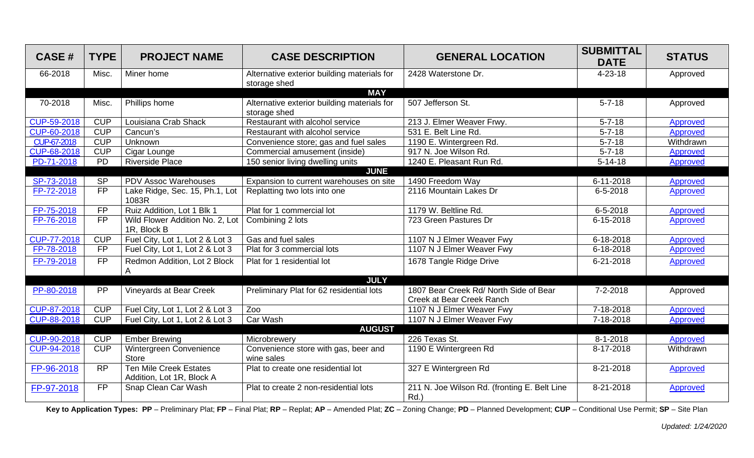| <b>CASE#</b> | <b>TYPE</b>     | <b>PROJECT NAME</b>                                        | <b>CASE DESCRIPTION</b>                                                   | <b>GENERAL LOCATION</b>                                             | <b>SUBMITTAL</b><br><b>DATE</b> | <b>STATUS</b>   |
|--------------|-----------------|------------------------------------------------------------|---------------------------------------------------------------------------|---------------------------------------------------------------------|---------------------------------|-----------------|
| 66-2018      | Misc.           | Miner home                                                 | Alternative exterior building materials for<br>storage shed<br><b>MAY</b> | 2428 Waterstone Dr.                                                 | $4 - 23 - 18$                   | Approved        |
| 70-2018      | Misc.           | Phillips home                                              | Alternative exterior building materials for<br>storage shed               | 507 Jefferson St.                                                   | $5 - 7 - 18$                    | Approved        |
| CUP-59-2018  | <b>CUP</b>      | Louisiana Crab Shack                                       | Restaurant with alcohol service                                           | 213 J. Elmer Weaver Frwy.                                           | $5 - 7 - 18$                    | Approved        |
| CUP-60-2018  | CUP             | Cancun's                                                   | Restaurant with alcohol service                                           | 531 E. Belt Line Rd.                                                | $5 - 7 - 18$                    | Approved        |
| CUP-67-2018  | <b>CUP</b>      | Unknown                                                    | Convenience store; gas and fuel sales                                     | 1190 E. Wintergreen Rd.                                             | $5 - 7 - 18$                    | Withdrawn       |
| CUP-68-2018  | <b>CUP</b>      | Cigar Lounge                                               | Commercial amusement (inside)                                             | 917 N. Joe Wilson Rd.                                               | $5 - 7 - 18$                    | Approved        |
| PD-71-2018   | $\overline{PD}$ | <b>Riverside Place</b>                                     | 150 senior living dwelling units                                          | 1240 E. Pleasant Run Rd.                                            | $5 - 14 - 18$                   | Approved        |
|              |                 |                                                            | <b>JUNE</b>                                                               |                                                                     |                                 |                 |
| SP-73-2018   | <b>SP</b>       | <b>PDV Assoc Warehouses</b>                                | Expansion to current warehouses on site                                   | 1490 Freedom Way                                                    | 6-11-2018                       | Approved        |
| FP-72-2018   | <b>FP</b>       | Lake Ridge, Sec. 15, Ph.1, Lot<br>1083R                    | Replatting two lots into one                                              | 2116 Mountain Lakes Dr                                              | 6-5-2018                        | Approved        |
| FP-75-2018   | $\overline{FP}$ | Ruiz Addition, Lot 1 Blk 1                                 | Plat for 1 commercial lot                                                 | 1179 W. Beltline Rd.                                                | $6 - 5 - 2018$                  | Approved        |
| FP-76-2018   | $\overline{FP}$ | Wild Flower Addition No. 2, Lot<br>1R, Block B             | Combining 2 lots                                                          | 723 Green Pastures Dr                                               | 6-15-2018                       | Approved        |
| CUP-77-2018  | <b>CUP</b>      | Fuel City, Lot 1, Lot 2 & Lot 3                            | Gas and fuel sales                                                        | 1107 N J Elmer Weaver Fwy                                           | 6-18-2018                       | Approved        |
| FP-78-2018   | <b>FP</b>       | Fuel City, Lot 1, Lot 2 & Lot 3                            | Plat for 3 commercial lots                                                | 1107 N J Elmer Weaver Fwy                                           | 6-18-2018                       | <b>Approved</b> |
| FP-79-2018   | <b>FP</b>       | Redmon Addition, Lot 2 Block<br>A                          | Plat for 1 residential lot                                                | 1678 Tangle Ridge Drive                                             | 6-21-2018                       | Approved        |
|              |                 |                                                            | <b>JULY</b>                                                               |                                                                     |                                 |                 |
| PP-80-2018   | <b>PP</b>       | <b>Vineyards at Bear Creek</b>                             | Preliminary Plat for 62 residential lots                                  | 1807 Bear Creek Rd/ North Side of Bear<br>Creek at Bear Creek Ranch | 7-2-2018                        | Approved        |
| CUP-87-2018  | <b>CUP</b>      | Fuel City, Lot 1, Lot 2 & Lot 3                            | Zoo                                                                       | 1107 N J Elmer Weaver Fwy                                           | 7-18-2018                       | Approved        |
| CUP-88-2018  | CUP             | Fuel City, Lot 1, Lot 2 & Lot 3                            | Car Wash                                                                  | 1107 N J Elmer Weaver Fwy                                           | 7-18-2018                       | Approved        |
|              |                 |                                                            | <b>AUGUST</b>                                                             |                                                                     |                                 |                 |
| CUP-90-2018  | <b>CUP</b>      | <b>Ember Brewing</b>                                       | Microbrewery                                                              | 226 Texas St.                                                       | 8-1-2018                        | Approved        |
| CUP-94-2018  | <b>CUP</b>      | Wintergreen Convenience<br><b>Store</b>                    | Convenience store with gas, beer and<br>wine sales                        | 1190 E Wintergreen Rd                                               | 8-17-2018                       | Withdrawn       |
| FP-96-2018   | <b>RP</b>       | <b>Ten Mile Creek Estates</b><br>Addition, Lot 1R, Block A | Plat to create one residential lot                                        | 327 E Wintergreen Rd                                                | 8-21-2018                       | Approved        |
| FP-97-2018   | <b>FP</b>       | Snap Clean Car Wash                                        | Plat to create 2 non-residential lots                                     | 211 N. Joe Wilson Rd. (fronting E. Belt Line<br>Rd.)                | 8-21-2018                       | <b>Approved</b> |

Key to Application Types: PP - Preliminary Plat; FP - Final Plat; RP - Replat; AP - Amended Plat; ZC - Zoning Change; PD - Planned Development; CUP - Conditional Use Permit; SP - Site Plan